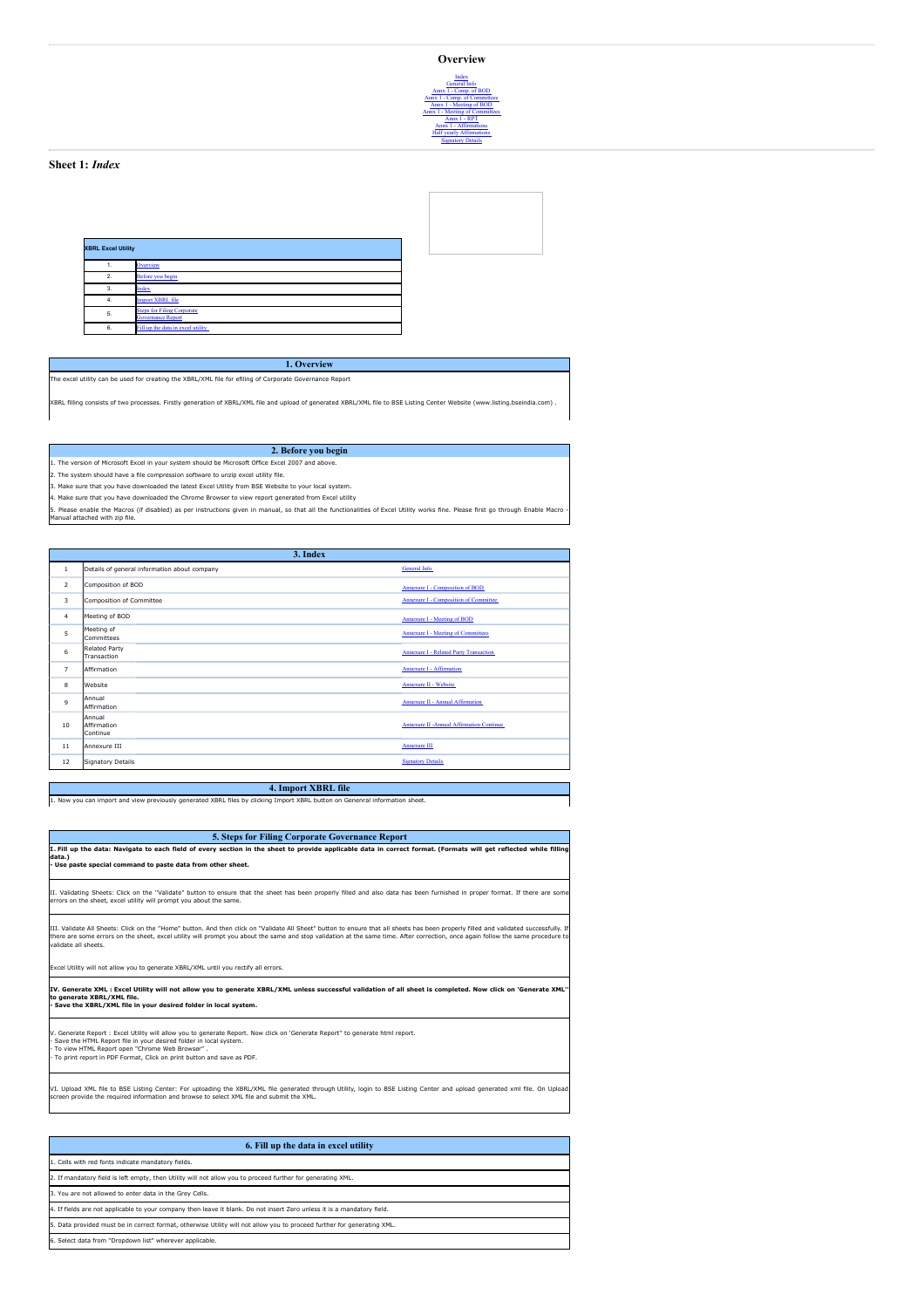| <b>XBRL Excel Utility</b> |                                                               |  |  |  |  |  |  |  |  |
|---------------------------|---------------------------------------------------------------|--|--|--|--|--|--|--|--|
|                           | Overview                                                      |  |  |  |  |  |  |  |  |
| $\mathcal{P}$             | Before you begin                                              |  |  |  |  |  |  |  |  |
| 3                         | Index                                                         |  |  |  |  |  |  |  |  |
| -4.                       | <b>Import XBRL file</b>                                       |  |  |  |  |  |  |  |  |
| 5.                        | <b>Steps for Filing Corporate</b><br><b>Governance Report</b> |  |  |  |  |  |  |  |  |
| 6                         | Fill up the data in excel utility                             |  |  |  |  |  |  |  |  |

The excel utility can be used for creating the XBRL/XML file for efiling of Corporate Governance Report

XBRL filling consists of two processes. Firstly generation of XBRL/XML file and upload of generated XBRL/XML file to BSE Listing Center Website (www.listing.bseindia.com) .

**1. Overview**

## **2. Before you begin**

1. The version of Microsoft Excel in your system should be Microsoft Office Excel 2007 and above.

2. The system should have a file compression software to unzip excel utility file.

3. Make sure that you have downloaded the latest Excel Utility from BSE Website to your local system.

4. Make sure that you have downloaded the Chrome Browser to view report generated from Excel utility

5. Please enable the Macros (if disabled) as per instructions given in manual, so that all the functionalities of Excel Utility works fine. Please first go through Enable Macro anual attached with zin file

|                | 3. Index                          |                                              |                                                  |  |  |  |  |  |  |  |
|----------------|-----------------------------------|----------------------------------------------|--------------------------------------------------|--|--|--|--|--|--|--|
| $\mathbf{1}$   |                                   | Details of general information about company | <b>General Info</b>                              |  |  |  |  |  |  |  |
| $\overline{2}$ | Composition of BOD                |                                              | <b>Annexure I - Composition of BOD</b>           |  |  |  |  |  |  |  |
| 3              | Composition of Committee          |                                              | <b>Annexure I - Composition of Committee</b>     |  |  |  |  |  |  |  |
| $\overline{4}$ | Meeting of BOD                    |                                              | <b>Annexure I - Meeting of BOD</b>               |  |  |  |  |  |  |  |
| 5              | Meeting of<br>Committees          |                                              | <b>Annexure I - Meeting of Committees</b>        |  |  |  |  |  |  |  |
| 6              | Related Party<br>Transaction      |                                              | <b>Annexure I - Related Party Transaction</b>    |  |  |  |  |  |  |  |
| $\overline{7}$ | Affirmation                       |                                              | <b>Annexure I - Affirmation</b>                  |  |  |  |  |  |  |  |
| 8              | <b>Website</b>                    |                                              | <b>Annexure II - Website</b>                     |  |  |  |  |  |  |  |
| $\mathbf{Q}$   | lAnnual<br>Affirmation            |                                              | <b>Annexure II - Annual Affirmation</b>          |  |  |  |  |  |  |  |
| 10             | Annual<br>Affirmation<br>Continue |                                              | <b>Annexure II - Annual Affirmation Continue</b> |  |  |  |  |  |  |  |
| 11             | Annexure III                      |                                              | <b>Annexure III</b>                              |  |  |  |  |  |  |  |
| 12             | Signatory Details                 |                                              | <b>Signatory Details</b>                         |  |  |  |  |  |  |  |

#### **4. Import XBRL file**

1. Now you can import and view previously generated XBRL files by clicking Import XBRL button on Genenral information sheet.

## **5. Steps for Filing Corporate Governance Report**

I. Fill up the data: Navigate to each field of every section in the sheet to provide applicable data in correct format. (Formats will get reflected while filling **data.) - Use paste special command to paste data from other sheet.** II. Validating Sheets: Click on the ''Validate" button to ensure that the sheet has been properly filled and also data has been furnished in proper format. If there are some errors on the sheet, excel utility will prompt you about the same. III. Validate All Sheets: Click on the ''Home" button. And then click on "Validate All Sheet" button to ensure that all sheets has been properly filled and validated successfully. If there are some errors on the sheet, excel utility will prompt you about the same and stop validation at the same time. After correction, once again follow the same procedure to validate all sheets. Excel Utility will not allow you to generate XBRL/XML until you rectify all errors.

.<br>IV. Generate XML : Excel Utility will not allow you to generate XBRL/XML unless successful validation of all sheet is completed. Now click on 'Generate XML' **to generate XBRL/XML file.**

**- Save the XBRL/XML file in your desired folder in local system.**

erate Report. Now click on 'Generate Report'' to generate html report.

- Save the HTML Report file in your desired folder in local system. - To view HTML Report open "Chrome Web Browser" .

- To print report in PDF Format, Click on print button and save as PDF.

VI. Upload XML file to BSE Listing Center: For uploading the XBRL/XML file generated through Utility, login to BSE Listing Center and upload generated xml file. On Upload screen provide the required information and browse to select XML file and submit the XML.

| 6. Fill up the data in excel utility                                                                                    |
|-------------------------------------------------------------------------------------------------------------------------|
| 1. Cells with red fonts indicate mandatory fields.                                                                      |
| 2. If mandatory field is left empty, then Utility will not allow you to proceed further for generating XML.             |
| 3. You are not allowed to enter data in the Grey Cells.                                                                 |
| 4. If fields are not applicable to your company then leave it blank. Do not insert Zero unless it is a mandatory field. |
| 5. Data provided must be in correct format, otherwise Utility will not allow you to proceed further for generating XML. |
| 6. Select data from "Dropdown list" wherever applicable.                                                                |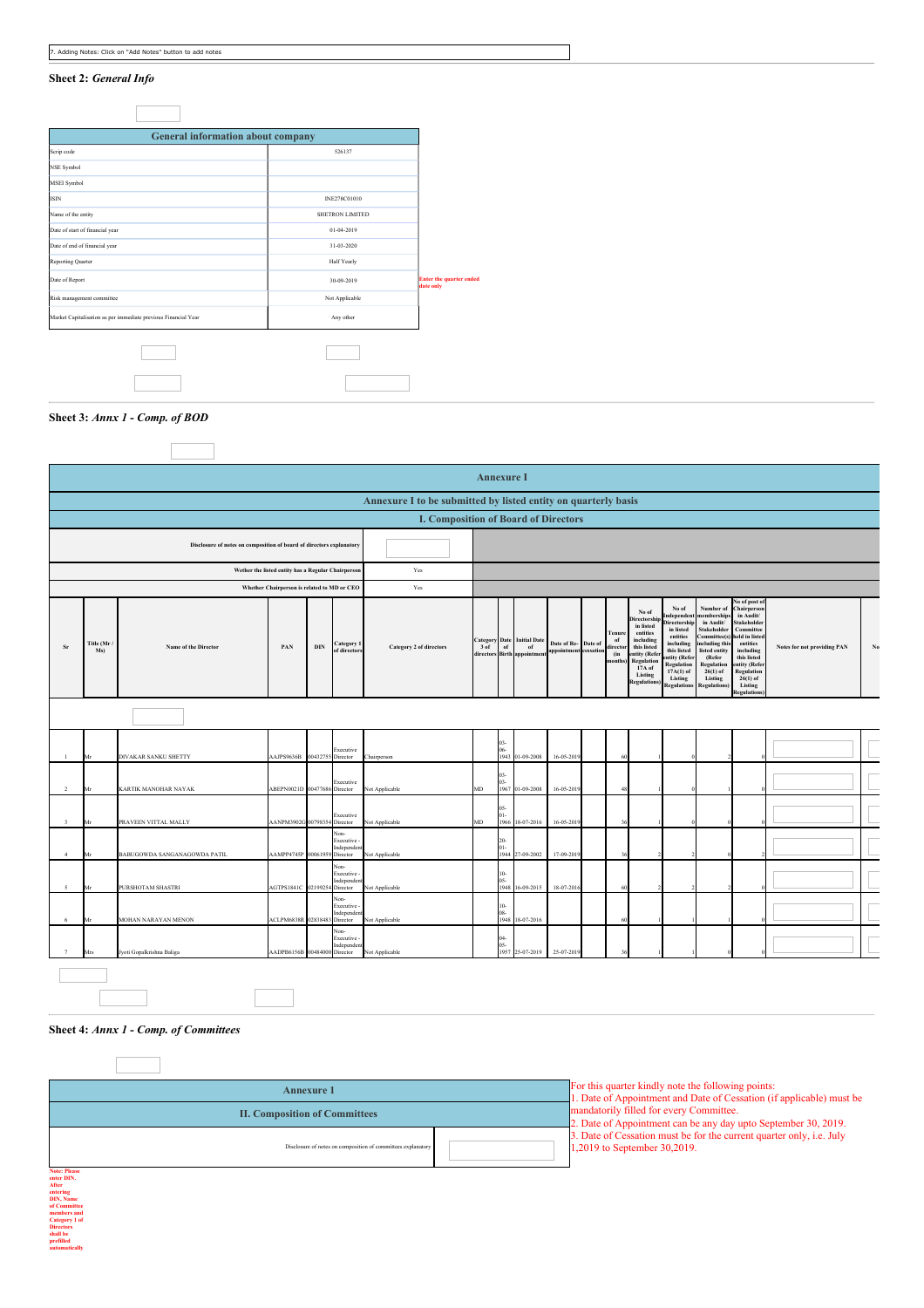|                         | <b>Annexure I</b>                                                    |                              |                                                    |                   |                                                |                                                                |      |                      |                                                                        |                                              |  |                                           |                                                                                                                                                          |                                                                                                                                                                                |                                                                                                                                                                                       |                                                                                                                                                                                                             |                             |    |
|-------------------------|----------------------------------------------------------------------|------------------------------|----------------------------------------------------|-------------------|------------------------------------------------|----------------------------------------------------------------|------|----------------------|------------------------------------------------------------------------|----------------------------------------------|--|-------------------------------------------|----------------------------------------------------------------------------------------------------------------------------------------------------------|--------------------------------------------------------------------------------------------------------------------------------------------------------------------------------|---------------------------------------------------------------------------------------------------------------------------------------------------------------------------------------|-------------------------------------------------------------------------------------------------------------------------------------------------------------------------------------------------------------|-----------------------------|----|
|                         |                                                                      |                              |                                                    |                   |                                                | Annexure I to be submitted by listed entity on quarterly basis |      |                      |                                                                        |                                              |  |                                           |                                                                                                                                                          |                                                                                                                                                                                |                                                                                                                                                                                       |                                                                                                                                                                                                             |                             |    |
|                         |                                                                      |                              |                                                    |                   |                                                | <b>I. Composition of Board of Directors</b>                    |      |                      |                                                                        |                                              |  |                                           |                                                                                                                                                          |                                                                                                                                                                                |                                                                                                                                                                                       |                                                                                                                                                                                                             |                             |    |
|                         | Disclosure of notes on composition of board of directors explanatory |                              |                                                    |                   |                                                |                                                                |      |                      |                                                                        |                                              |  |                                           |                                                                                                                                                          |                                                                                                                                                                                |                                                                                                                                                                                       |                                                                                                                                                                                                             |                             |    |
|                         |                                                                      |                              | Wether the listed entity has a Regular Chairperson |                   |                                                | Yes                                                            |      |                      |                                                                        |                                              |  |                                           |                                                                                                                                                          |                                                                                                                                                                                |                                                                                                                                                                                       |                                                                                                                                                                                                             |                             |    |
|                         |                                                                      |                              | Whether Chairperson is related to MD or CEO        |                   |                                                | Yes                                                            |      |                      |                                                                        |                                              |  |                                           |                                                                                                                                                          |                                                                                                                                                                                |                                                                                                                                                                                       |                                                                                                                                                                                                             |                             |    |
| Sr                      | Title (Mr.<br>Ms)                                                    | Name of the Director         | PAN                                                | $_{\rm{DIN}}$     | Category 1<br>of directors                     | <b>Category 2 of directors</b>                                 | 3 of | of                   | <b>Category Date</b> Initial Date<br>of<br>directors Birth appointment | Date of Re- Date of<br>appointment cessation |  | Tenure<br>of<br>director<br>(in<br>months | No of<br><b>Directorshi</b><br>in listed<br>entities<br>including<br>this listed<br>entity (Refe<br>Regulation<br>17A of<br>Listing<br><b>Regulation</b> | No of<br>Independen<br>Directorship<br>in listed<br>entities<br>including<br>this listed<br>entity (Refer<br><b>Regulation</b><br>$17A(1)$ of<br>Listing<br><b>Regulations</b> | Number of<br>membership<br>in Audit/<br><b>Stakeholder</b><br>Committee(s)<br>including thi<br>listed entity<br>(Refer<br>Regulation<br>$26(1)$ of<br>Listing<br><b>Regulations</b> ) | No of post o<br>Chairperson<br>in Audit/<br>Stakeholder<br>Committee<br>held in listed<br>entities<br>including<br>this listed<br>entity (Refer<br>Regulation<br>$26(1)$ of<br>Listing<br><b>Regulation</b> | Notes for not providing PAN | No |
|                         |                                                                      |                              |                                                    |                   |                                                |                                                                |      |                      |                                                                        |                                              |  |                                           |                                                                                                                                                          |                                                                                                                                                                                |                                                                                                                                                                                       |                                                                                                                                                                                                             |                             |    |
| $\mathbf{1}$            | Mr                                                                   | DIVAKAR SANKU SHETTY         | AAJPS9636B                                         | 00432755 Director | Executive                                      | <b>Thairperson</b>                                             |      | $03-$<br>1943        | 01-09-2008                                                             | $16 - 05 - 20$                               |  |                                           |                                                                                                                                                          |                                                                                                                                                                                |                                                                                                                                                                                       |                                                                                                                                                                                                             |                             |    |
| $\overline{2}$          | Mr                                                                   | KARTIK MANOHAR NAYAK         | ABEPN0021D 00477686                                |                   | Executive<br>Director                          | Not Applicable                                                 | MD   | 03-<br>1967          | 01-09-2008                                                             | 16-05-201                                    |  |                                           |                                                                                                                                                          |                                                                                                                                                                                |                                                                                                                                                                                       |                                                                                                                                                                                                             |                             |    |
| $\overline{\mathbf{3}}$ | Mr                                                                   | PRAVEEN VITTAL MALLY         | AANPM3902G 00798354 Director                       |                   | Executive                                      | Not Applicable                                                 | MD   | 15<br>1966           | 18-07-2016                                                             | 16-05-201                                    |  |                                           |                                                                                                                                                          |                                                                                                                                                                                |                                                                                                                                                                                       |                                                                                                                                                                                                             |                             |    |
| 4                       | Mr                                                                   | BABUGOWDA SANGANAGOWDA PATIL | AAMPP4745P 00061959 Director                       |                   | Non-<br>Executive -<br>Independent             | Not Applicable                                                 |      | 20<br>1944           | 27-09-2002                                                             | 17-09-201                                    |  |                                           |                                                                                                                                                          |                                                                                                                                                                                |                                                                                                                                                                                       |                                                                                                                                                                                                             |                             |    |
| $\overline{5}$          | Mr                                                                   | PURSHOTAM SHASTRI            | AGTPS1841C 02199254                                |                   | Non-<br>Executive -<br>Independent<br>Director | Not Applicable                                                 |      | $\bf{0}$<br>1948     | 16-09-2015                                                             | 18-07-201                                    |  |                                           |                                                                                                                                                          |                                                                                                                                                                                |                                                                                                                                                                                       |                                                                                                                                                                                                             |                             |    |
| 6                       | Mr                                                                   | MOHAN NARAYAN MENON          | ACLPM6838F                                         | 02838483 Director | Non-<br>Executive -<br>Independen              | <b>Not Applicable</b>                                          |      | $10-$<br>08-<br>1948 | 18-07-2016                                                             |                                              |  |                                           |                                                                                                                                                          |                                                                                                                                                                                |                                                                                                                                                                                       |                                                                                                                                                                                                             |                             |    |
| 7                       | Mrs                                                                  | Jyoti Gopalkrishna Baliga    | AADPB6156B 00484000 Director                       |                   | Non-<br>Executive -<br>Independent             | Not Applicable                                                 |      | $04-$<br>ĎŚ<br>1957  | 25-07-2019                                                             | 25-07-201                                    |  |                                           |                                                                                                                                                          |                                                                                                                                                                                |                                                                                                                                                                                       |                                                                                                                                                                                                             |                             |    |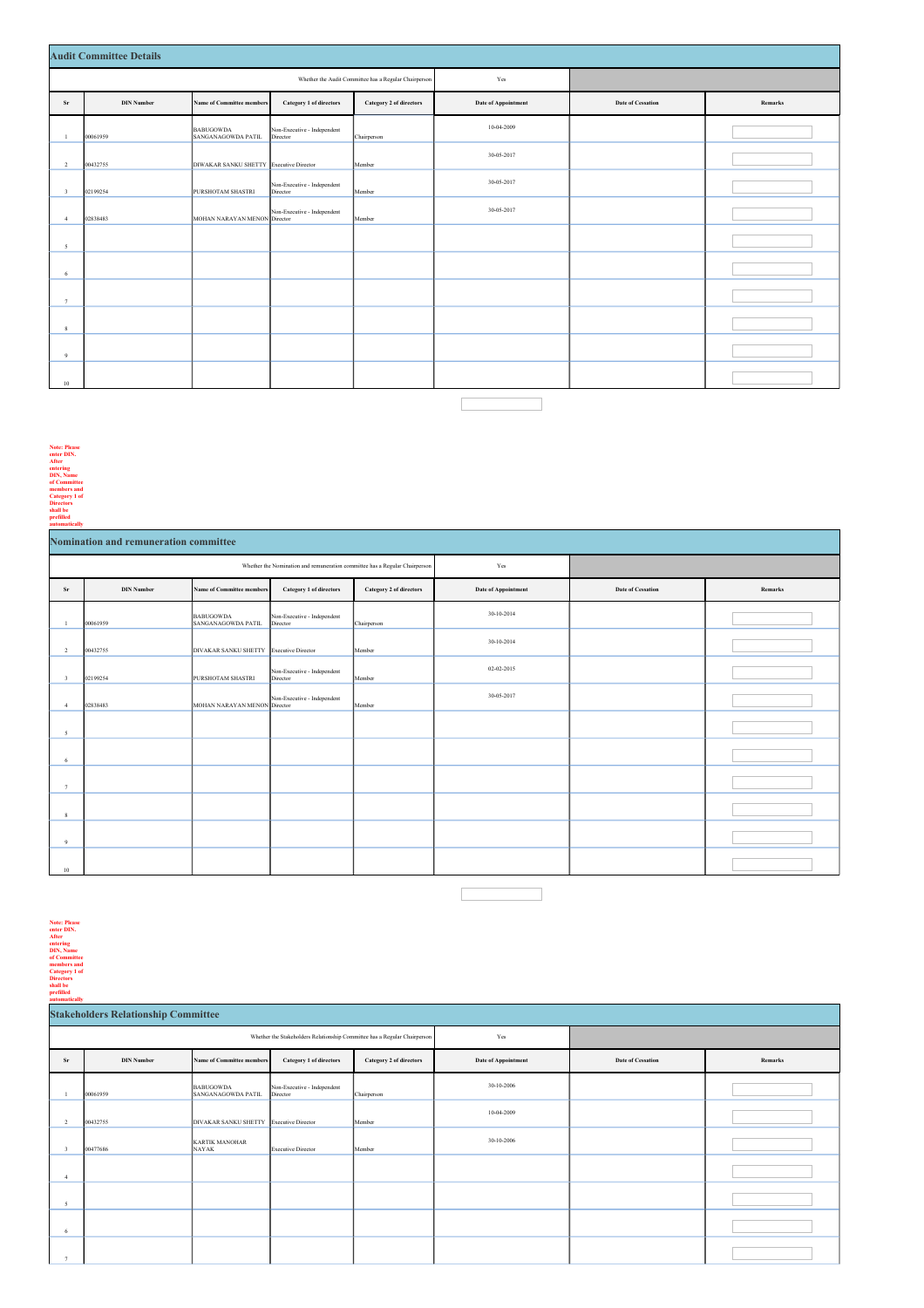#### **Audit Committee Details**

|                         | Айин Сонншиес Details |                                         |                                         |                                                       |                            |                          |         |  |  |  |  |
|-------------------------|-----------------------|-----------------------------------------|-----------------------------------------|-------------------------------------------------------|----------------------------|--------------------------|---------|--|--|--|--|
|                         |                       |                                         |                                         | Whether the Audit Committee has a Regular Chairperson | Yes                        |                          |         |  |  |  |  |
| ${\bf Sr}$              | <b>DIN Number</b>     | <b>Name of Committee members</b>        | Category 1 of directors                 | Category 2 of directors                               | <b>Date of Appointment</b> | <b>Date of Cessation</b> | Remarks |  |  |  |  |
| $\mathbf{1}$            | 00061959              | BABUGOWDA<br>SANGANAGOWDA PATIL         | Non-Executive - Independent<br>Director | Chairperson                                           | 10-04-2009                 |                          |         |  |  |  |  |
| $\overline{2}$          | 00432755              | DIWAKAR SANKU SHETTY Executive Director |                                         | Member                                                | 30-05-2017                 |                          |         |  |  |  |  |
| $\overline{\mathbf{3}}$ | 02199254              | PURSHOTAM SHASTRI                       | Non-Executive - Independent<br>Director | Member                                                | 30-05-2017                 |                          |         |  |  |  |  |
| $\frac{4}{3}$           | 02838483              | MOHAN NARAYAN MENON Director            | Non-Executive - Independent             | Member                                                | 30-05-2017                 |                          |         |  |  |  |  |
| 5                       |                       |                                         |                                         |                                                       |                            |                          |         |  |  |  |  |
| 6                       |                       |                                         |                                         |                                                       |                            |                          |         |  |  |  |  |
| $\tau$                  |                       |                                         |                                         |                                                       |                            |                          |         |  |  |  |  |
| 8                       |                       |                                         |                                         |                                                       |                            |                          |         |  |  |  |  |
| 9                       |                       |                                         |                                         |                                                       |                            |                          |         |  |  |  |  |
| 10                      |                       |                                         |                                         |                                                       |                            |                          |         |  |  |  |  |
|                         |                       |                                         |                                         |                                                       |                            |                          |         |  |  |  |  |

**Note: Please enter DIN. After entering DIN, Name of Committee**

**members and Category 1 of**

**Directors shall be prefilled automatically**

|                         | Nomination and remuneration committee |                                        |                                                                             |                         |                            |                          |         |  |  |  |  |
|-------------------------|---------------------------------------|----------------------------------------|-----------------------------------------------------------------------------|-------------------------|----------------------------|--------------------------|---------|--|--|--|--|
|                         |                                       |                                        | Whether the Nomination and remuneration committee has a Regular Chairperson |                         | Yes                        |                          |         |  |  |  |  |
| Sr                      | <b>DIN Number</b>                     | <b>Name of Committee members</b>       | <b>Category 1 of directors</b>                                              | Category 2 of directors | <b>Date of Appointment</b> | <b>Date of Cessation</b> | Remarks |  |  |  |  |
| $\overline{1}$          | 00061959                              | <b>BABUGOWDA</b><br>SANGANAGOWDA PATIL | Non-Executive - Independent<br>Director                                     | Chairperson             | 30-10-2014                 |                          |         |  |  |  |  |
| $\overline{2}$          | 00432755                              | DIVAKAR SANKU SHETTY                   | Executive Director                                                          | Member                  | 30-10-2014                 |                          |         |  |  |  |  |
| $\overline{\mathbf{3}}$ | 02199254                              | PURSHOTAM SHASTRI                      | Non-Executive - Independent<br>Director                                     | Member                  | 02-02-2015                 |                          |         |  |  |  |  |
| $\frac{4}{3}$           | 02838483                              | MOHAN NARAYAN MENON Director           | Non-Executive - Independent                                                 | Member                  | 30-05-2017                 |                          |         |  |  |  |  |
| $\overline{5}$          |                                       |                                        |                                                                             |                         |                            |                          |         |  |  |  |  |
| 6                       |                                       |                                        |                                                                             |                         |                            |                          |         |  |  |  |  |
| 7                       |                                       |                                        |                                                                             |                         |                            |                          |         |  |  |  |  |
| 8                       |                                       |                                        |                                                                             |                         |                            |                          |         |  |  |  |  |
| 9                       |                                       |                                        |                                                                             |                         |                            |                          |         |  |  |  |  |
| 10                      |                                       |                                        |                                                                             |                         |                            |                          |         |  |  |  |  |

# Note: Please<br>enter DIN.<br>After<br>entering<br>DIN, Name<br>of Committee<br>of Category 1 of<br>Directors<br>shall be<br>prefilled<br>automatically<br>automatically

|                         | <b>Stakeholders Relationship Committee</b> |                                        |                                                                           |                         |                            |                          |         |
|-------------------------|--------------------------------------------|----------------------------------------|---------------------------------------------------------------------------|-------------------------|----------------------------|--------------------------|---------|
|                         |                                            |                                        | Whether the Stakeholders Relationship Committee has a Regular Chairperson |                         | Yes                        |                          |         |
| Sr                      | <b>DIN Number</b>                          | <b>Name of Committee members</b>       | <b>Category 1 of directors</b>                                            | Category 2 of directors | <b>Date of Appointment</b> | <b>Date of Cessation</b> | Remarks |
|                         | 00061959                                   | <b>BABUGOWDA</b><br>SANGANAGOWDA PATIL | Non-Executive - Independent<br>Director                                   | Chairperson             | 30-10-2006                 |                          |         |
| $\overline{2}$          | 00432755                                   | DIVAKAR SANKU SHETTY                   | <b>Executive Director</b>                                                 | Member                  | 10-04-2009                 |                          |         |
| $\overline{\mathbf{3}}$ | 00477686                                   | <b>KARTIK MANOHAR</b><br>NAYAK         | <b>Executive Director</b>                                                 | Member                  | 30-10-2006                 |                          |         |
| $\overline{4}$          |                                            |                                        |                                                                           |                         |                            |                          |         |
| 5                       |                                            |                                        |                                                                           |                         |                            |                          |         |
| 6                       |                                            |                                        |                                                                           |                         |                            |                          |         |
| $\overline{ }$          |                                            |                                        |                                                                           |                         |                            |                          |         |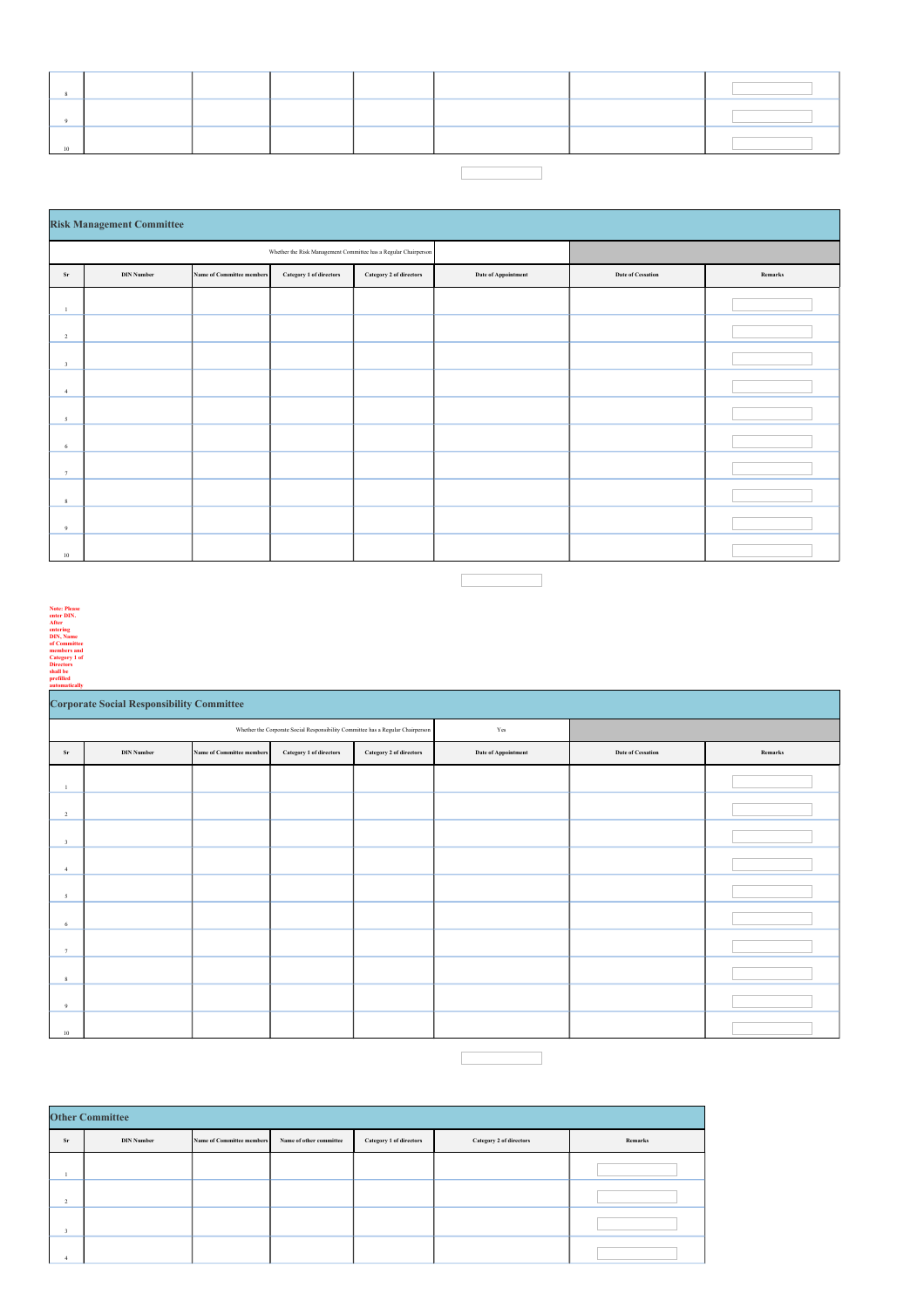# 

|                         | <b>Risk Management Committee</b> |                                                                 |                         |                         |                            |                          |         |  |  |  |  |
|-------------------------|----------------------------------|-----------------------------------------------------------------|-------------------------|-------------------------|----------------------------|--------------------------|---------|--|--|--|--|
|                         |                                  | Whether the Risk Management Committee has a Regular Chairperson |                         |                         |                            |                          |         |  |  |  |  |
| ${\bf Sr}$              | <b>DIN Number</b>                | <b>Name of Committee members</b>                                | Category 1 of directors | Category 2 of directors | <b>Date of Appointment</b> | <b>Date of Cessation</b> | Remarks |  |  |  |  |
| $\mathbf{I}$            |                                  |                                                                 |                         |                         |                            |                          |         |  |  |  |  |
| $\overline{2}$          |                                  |                                                                 |                         |                         |                            |                          |         |  |  |  |  |
| $\overline{\mathbf{3}}$ |                                  |                                                                 |                         |                         |                            |                          |         |  |  |  |  |
| $\overline{4}$          |                                  |                                                                 |                         |                         |                            |                          |         |  |  |  |  |
| $\sim$                  |                                  |                                                                 |                         |                         |                            |                          |         |  |  |  |  |
| 6                       |                                  |                                                                 |                         |                         |                            |                          |         |  |  |  |  |
| 7                       |                                  |                                                                 |                         |                         |                            |                          |         |  |  |  |  |
| 8                       |                                  |                                                                 |                         |                         |                            |                          |         |  |  |  |  |
| $\overline{9}$          |                                  |                                                                 |                         |                         |                            |                          |         |  |  |  |  |
| 10                      |                                  |                                                                 |                         |                         |                            |                          |         |  |  |  |  |

| <b>Note: Please</b>  |
|----------------------|
| enter DIN.           |
| After                |
| entering             |
| <b>DIN, Name</b>     |
| of Committee         |
| members and          |
| <b>Category 1 of</b> |
| <b>Directors</b>     |
| shall be             |
| prefilled            |
| automatically        |

|                         | <b>Corporate Social Responsibility Committee</b> |                                  |                                                                                 |                                |                            |                          |         |  |  |  |  |
|-------------------------|--------------------------------------------------|----------------------------------|---------------------------------------------------------------------------------|--------------------------------|----------------------------|--------------------------|---------|--|--|--|--|
|                         |                                                  |                                  | Whether the Corporate Social Responsibility Committee has a Regular Chairperson |                                | Yes                        |                          |         |  |  |  |  |
| Sr                      | <b>DIN Number</b>                                | <b>Name of Committee members</b> | Category 1 of directors                                                         | <b>Category 2 of directors</b> | <b>Date of Appointment</b> | <b>Date of Cessation</b> | Remarks |  |  |  |  |
| $\mathbf{1}$            |                                                  |                                  |                                                                                 |                                |                            |                          |         |  |  |  |  |
| $\overline{2}$          |                                                  |                                  |                                                                                 |                                |                            |                          |         |  |  |  |  |
| $\overline{\mathbf{3}}$ |                                                  |                                  |                                                                                 |                                |                            |                          |         |  |  |  |  |
| $\overline{4}$          |                                                  |                                  |                                                                                 |                                |                            |                          |         |  |  |  |  |
| $\sim$                  |                                                  |                                  |                                                                                 |                                |                            |                          |         |  |  |  |  |
| 6                       |                                                  |                                  |                                                                                 |                                |                            |                          |         |  |  |  |  |
| 7                       |                                                  |                                  |                                                                                 |                                |                            |                          |         |  |  |  |  |
| 8                       |                                                  |                                  |                                                                                 |                                |                            |                          |         |  |  |  |  |
| $\overline{9}$          |                                                  |                                  |                                                                                 |                                |                            |                          |         |  |  |  |  |
| 10                      |                                                  |                                  |                                                                                 |                                |                            |                          |         |  |  |  |  |
|                         |                                                  |                                  |                                                                                 |                                |                            |                          |         |  |  |  |  |

|                         | <b>Other Committee</b> |                                  |                         |                                |                         |         |  |  |  |  |  |  |
|-------------------------|------------------------|----------------------------------|-------------------------|--------------------------------|-------------------------|---------|--|--|--|--|--|--|
| Sr                      | <b>DIN Number</b>      | <b>Name of Committee members</b> | Name of other committee | <b>Category 1 of directors</b> | Category 2 of directors | Remarks |  |  |  |  |  |  |
|                         |                        |                                  |                         |                                |                         |         |  |  |  |  |  |  |
| $\overline{2}$          |                        |                                  |                         |                                |                         |         |  |  |  |  |  |  |
| $\overline{\mathbf{3}}$ |                        |                                  |                         |                                |                         |         |  |  |  |  |  |  |
|                         |                        |                                  |                         |                                |                         |         |  |  |  |  |  |  |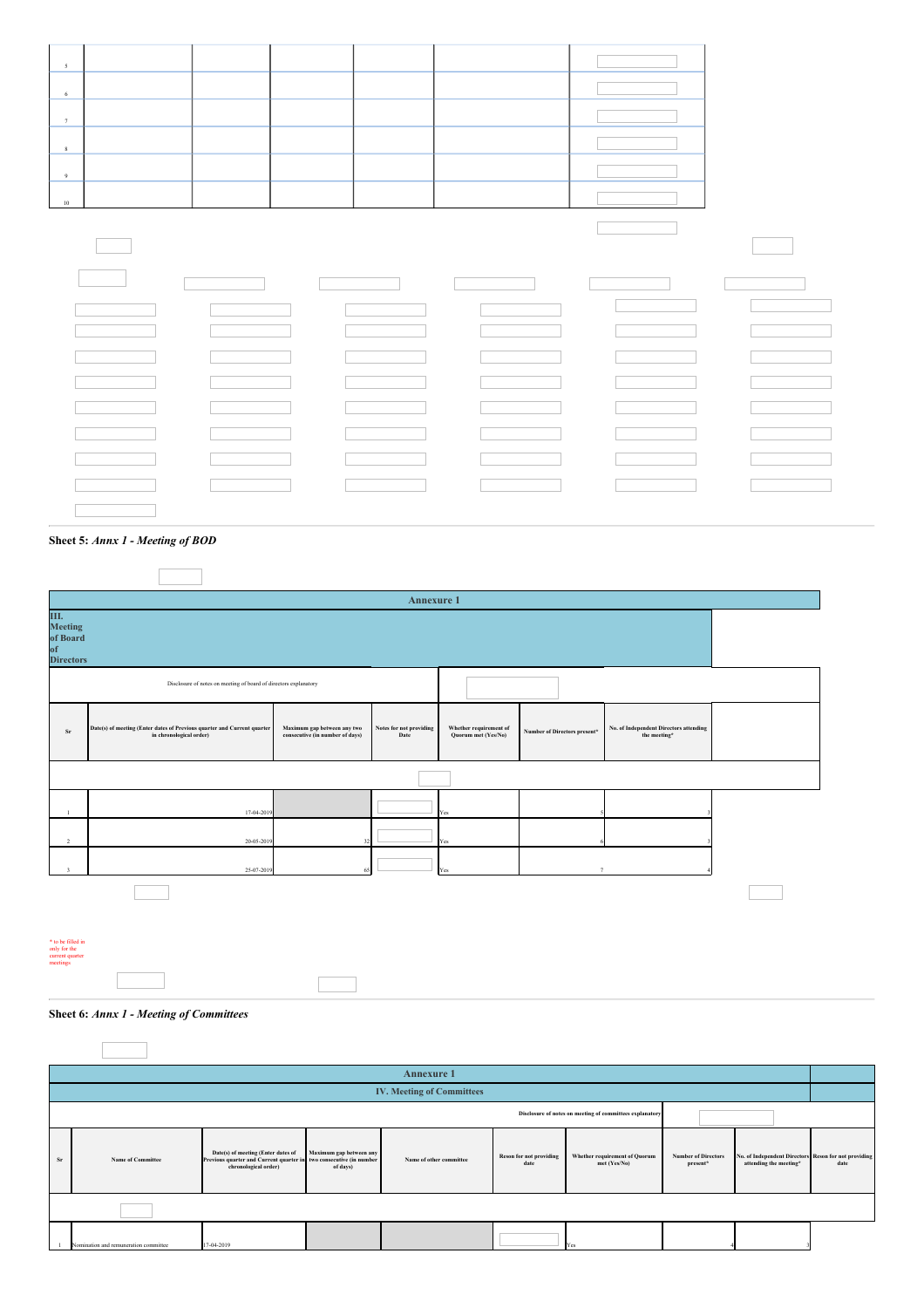|                                                                  |                                                                                                    |                                                                | <b>Annexure 1</b>               |                                               |                              |                                                        |  |
|------------------------------------------------------------------|----------------------------------------------------------------------------------------------------|----------------------------------------------------------------|---------------------------------|-----------------------------------------------|------------------------------|--------------------------------------------------------|--|
| Ш.<br>Meeting<br>of Board<br>of<br><b>Directors</b>              |                                                                                                    |                                                                |                                 |                                               |                              |                                                        |  |
|                                                                  | Disclosure of notes on meeting of board of directors explanatory                                   |                                                                |                                 |                                               |                              |                                                        |  |
| $_{\rm Sr}$                                                      | Date(s) of meeting (Enter dates of Previous quarter and Current quarter<br>in chronological order) | Maximum gap between any two<br>consecutive (in number of days) | Notes for not providing<br>Date | Whether requirement of<br>Quorum met (Yes/No) | Number of Directors present* | No. of Independent Directors attending<br>the meeting* |  |
|                                                                  |                                                                                                    |                                                                |                                 |                                               |                              |                                                        |  |
| $\mathbf{1}$                                                     | 17-04-201                                                                                          |                                                                |                                 | Yes                                           |                              |                                                        |  |
| $\overline{2}$                                                   | 20-05-201                                                                                          | 32                                                             |                                 | Yes                                           |                              |                                                        |  |
| $\overline{\mathbf{3}}$                                          | 25-07-201                                                                                          | 65                                                             |                                 | Yes                                           |                              |                                                        |  |
|                                                                  |                                                                                                    |                                                                |                                 |                                               |                              |                                                        |  |
|                                                                  |                                                                                                    |                                                                |                                 |                                               |                              |                                                        |  |
| * to be filled in<br>only for the<br>current quarter<br>meetings |                                                                                                    |                                                                |                                 |                                               |                              |                                                        |  |
|                                                                  |                                                                                                    |                                                                |                                 |                                               |                              |                                                        |  |

**Sheet 6:** *Annx 1 - Meeting of Committees*

|                                                          |                                       |                                                                                                                                  |                                     | <b>Annexure 1</b>                |                                        |                                               |                                        |                                                                                |      |
|----------------------------------------------------------|---------------------------------------|----------------------------------------------------------------------------------------------------------------------------------|-------------------------------------|----------------------------------|----------------------------------------|-----------------------------------------------|----------------------------------------|--------------------------------------------------------------------------------|------|
|                                                          |                                       |                                                                                                                                  |                                     | <b>IV. Meeting of Committees</b> |                                        |                                               |                                        |                                                                                |      |
| Disclosure of notes on meeting of committees explanatory |                                       |                                                                                                                                  |                                     |                                  |                                        |                                               |                                        |                                                                                |      |
| Sr                                                       | <b>Name of Committee</b>              | Date(s) of meeting (Enter dates of<br>Previous quarter and Current quarter in two consecutive (in number<br>chronological order) | Maximum gap between any<br>of days) | Name of other committee          | <b>Reson for not providing</b><br>date | Whether requirement of Quorum<br>met (Yes/No) | <b>Number of Directors</b><br>present* | No. of Independent Directors Reson for not providing<br>attending the meeting* | date |
|                                                          |                                       |                                                                                                                                  |                                     |                                  |                                        |                                               |                                        |                                                                                |      |
|                                                          | Nomination and remuneration committee | 17-04-2019                                                                                                                       |                                     |                                  |                                        | Yes                                           |                                        |                                                                                |      |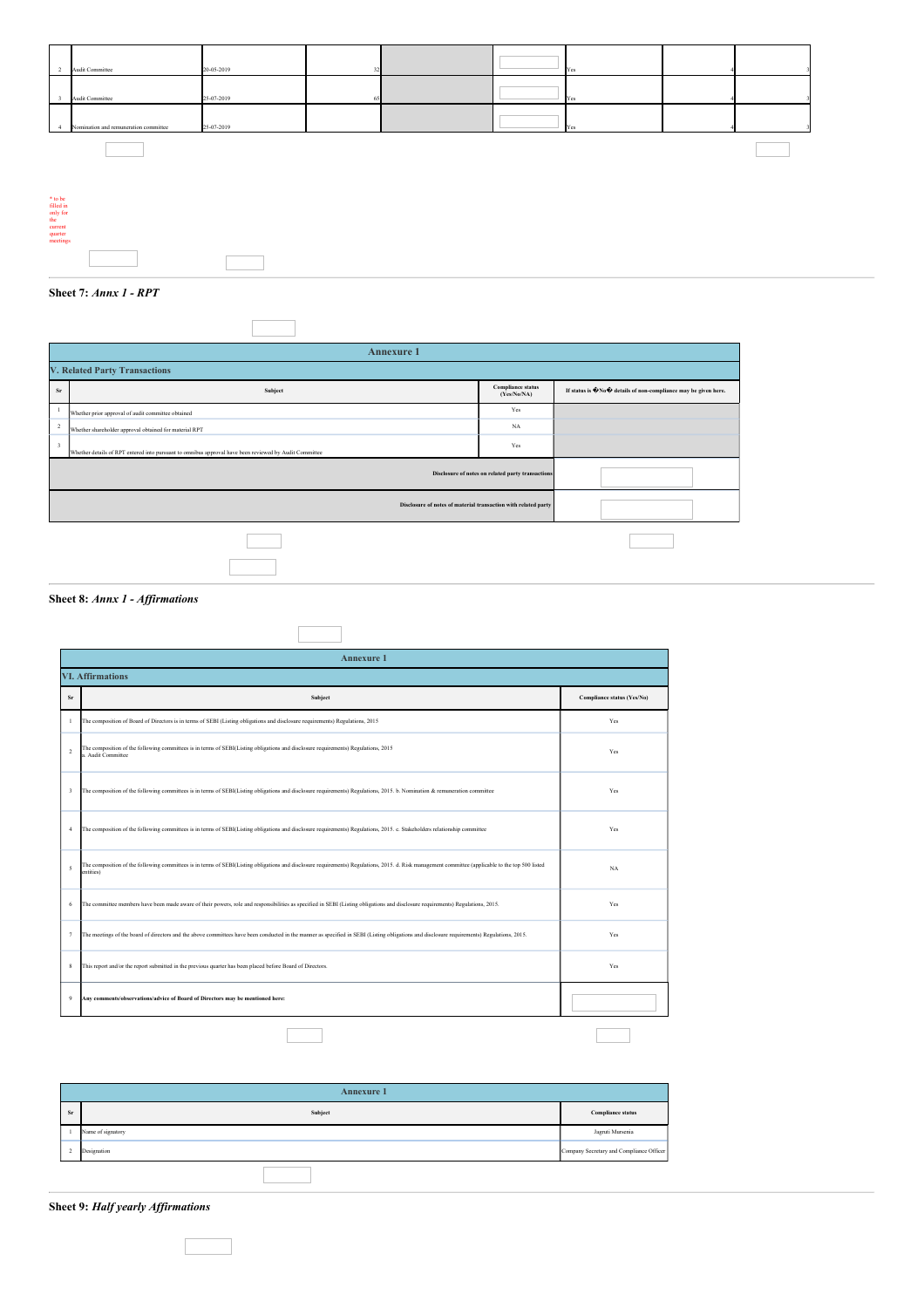

**Sheet 7:** *Annx 1 - RPT*

| <b>Annexure 1</b>                                              |                                                                                                        |                                         |                                                                                                |  |  |  |
|----------------------------------------------------------------|--------------------------------------------------------------------------------------------------------|-----------------------------------------|------------------------------------------------------------------------------------------------|--|--|--|
| <b>V. Related Party Transactions</b>                           |                                                                                                        |                                         |                                                                                                |  |  |  |
| Sr                                                             | Subject                                                                                                | <b>Compliance status</b><br>(Yes/No/NA) | If status is $\bigcirc \mathbb{N} \circ \bigcirc$ details of non-compliance may be given here. |  |  |  |
|                                                                | Whether prior approval of audit committee obtained                                                     | Yes                                     |                                                                                                |  |  |  |
| $\overline{2}$                                                 | Whether shareholder approval obtained for material RPT                                                 | <b>NA</b>                               |                                                                                                |  |  |  |
| $\overline{\mathbf{3}}$                                        | Whether details of RPT entered into pursuant to omnibus approval have been reviewed by Audit Committee | Yes                                     |                                                                                                |  |  |  |
| Disclosure of notes on related party transactions              |                                                                                                        |                                         |                                                                                                |  |  |  |
| Disclosure of notes of material transaction with related party |                                                                                                        |                                         |                                                                                                |  |  |  |
|                                                                |                                                                                                        |                                         |                                                                                                |  |  |  |
|                                                                |                                                                                                        |                                         |                                                                                                |  |  |  |

 $\overline{\phantom{a}}$ 

 $\overline{\Gamma}$ 

٦

**Sheet 8:** *Annx 1 - Af irmations*

|                | <b>Annexure 1</b>                                                                                                                                                                                               |                            |  |  |  |  |
|----------------|-----------------------------------------------------------------------------------------------------------------------------------------------------------------------------------------------------------------|----------------------------|--|--|--|--|
|                | <b>VI. Affirmations</b>                                                                                                                                                                                         |                            |  |  |  |  |
| Sr             | Subject                                                                                                                                                                                                         | Compliance status (Yes/No) |  |  |  |  |
| -1             | The composition of Board of Directors is in terms of SEBI (Listing obligations and disclosure requirements) Regulations, 2015                                                                                   | Yes                        |  |  |  |  |
| $\overline{2}$ | The composition of the following committees is in terms of SEBI(Listing obligations and disclosure requirements) Regulations, 2015<br>a. Audit Committee                                                        | Yes                        |  |  |  |  |
| 3              | The composition of the following committees is in terms of SEBI(Listing obligations and disclosure requirements) Regulations, 2015. b. Nomination & remuneration committee                                      | Yes                        |  |  |  |  |
| $\overline{A}$ | The composition of the following committees is in terms of SEBI(Listing obligations and disclosure requirements) Regulations, 2015. c. Stakeholders relationship committee                                      | Yes                        |  |  |  |  |
| 5              | The composition of the following committees is in terms of SEBI(Listing obligations and disclosure requirements) Regulations, 2015. d. Risk management committee (applicable to the top 500 listed<br>entities) | NA                         |  |  |  |  |
| 6              | The committee members have been made aware of their powers, role and responsibilities as specified in SEBI (Listing obligations and disclosure requirements) Regulations, 2015.                                 | Yes                        |  |  |  |  |
| $\tau$         | The meetings of the board of directors and the above committees have been conducted in the manner as specified in SEBI (Listing obligations and disclosure requirements) Regulations, 2015.                     | Yes                        |  |  |  |  |
| 8              | This report and/or the report submitted in the previous quarter has been placed before Board of Directors.                                                                                                      | Yes                        |  |  |  |  |
| $\overline{9}$ | Any comments/observations/advice of Board of Directors may be mentioned here:                                                                                                                                   |                            |  |  |  |  |
|                |                                                                                                                                                                                                                 |                            |  |  |  |  |

| <b>Annexure 1</b> |                   |                                          |  |
|-------------------|-------------------|------------------------------------------|--|
| <b>Sr</b>         | Subject           | <b>Compliance status</b>                 |  |
|                   | Name of signatory | Jagruti Mursenia                         |  |
| -4                | Designation       | Company Secretary and Compliance Officer |  |

**Sheet 9:** *Half yearly Af irmations*